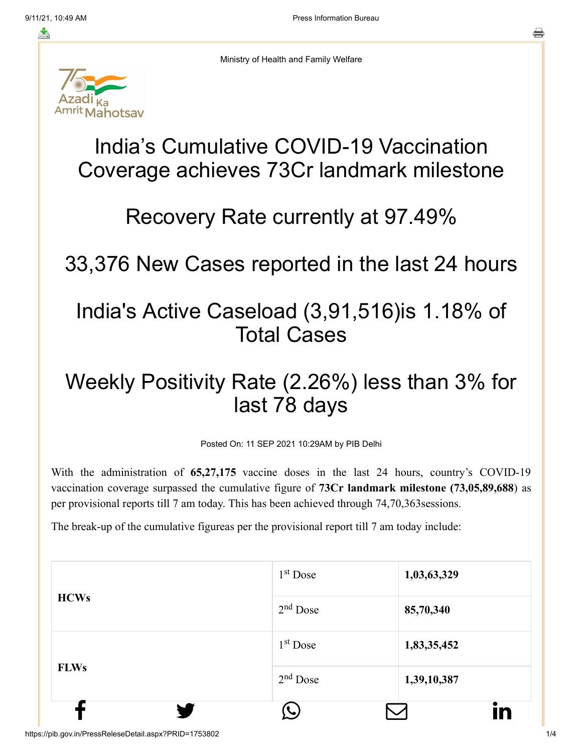≛



Ministry of Health and Family Welfare

# India's Cumulative COVID-19 Vaccination Coverage achieves 73Cr landmark milestone

### Recovery Rate currently at 97.49%

33,376 New Cases reported in the last 24 hours

### India's Active Caseload (3,91,516)is 1.18% of Total Cases

## Weekly Positivity Rate (2.26%) less than 3% for last 78 days

Posted On: 11 SEP 2021 10:29AM by PIB Delhi

With the administration of **65,27,175** vaccine doses in the last 24 hours, country's COVID-19 vaccination coverage surpassed the cumulative figure of **73Cr landmark milestone (73,05,89,688**) as per provisional reports till 7 am today. This has been achieved through 74,70,363sessions.

The break-up of the cumulative figureas per the provisional report till 7 am today include:

| <b>HCWs</b> | $2nd$ Dose | 85,70,340   |
|-------------|------------|-------------|
|             | $1st$ Dose | 1,83,35,452 |
| <b>FLWs</b> | $2nd$ Dose | 1,39,10,387 |
|             |            | in          |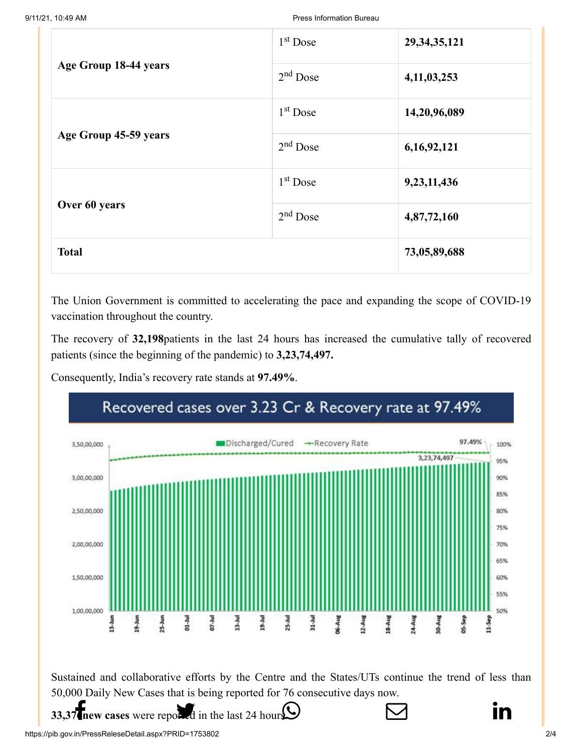|                       | $1st$ Dose           | 29, 34, 35, 121 |
|-----------------------|----------------------|-----------------|
| Age Group 18-44 years | $2nd$ Dose           | 4,11,03,253     |
|                       | $1st$ Dose           | 14,20,96,089    |
| Age Group 45-59 years | $2nd$ Dose           | 6,16,92,121     |
|                       | 1 <sup>st</sup> Dose | 9,23,11,436     |
| Over 60 years         | $2nd$ Dose           | 4,87,72,160     |
| <b>Total</b>          |                      | 73,05,89,688    |

The Union Government is committed to accelerating the pace and expanding the scope of COVID-19 vaccination throughout the country.

The recovery of **32,198**patients in the last 24 hours has increased the cumulative tally of recovered patients (since the beginning of the pandemic) to **3,23,74,497.**

Consequently, India's recovery rate stands at **97.49%**.

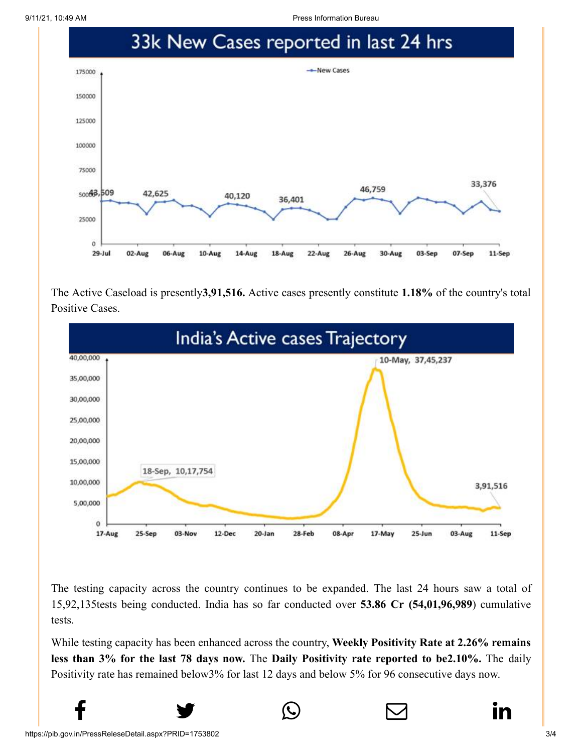9/11/21, 10:49 AM Press Information Bureau



The Active Caseload is presently**3,91,516.** Active cases presently constitute **1.18%** of the country's total Positive Cases.



The testing capacity across the country continues to be expanded. The last 24 hours saw a total of 15,92,135tests being conducted. India has so far conducted over **53.86 Cr (54,01,96,989**) cumulative tests.

While testing capacity has been enhanced across the country, **Weekly Positivity Rate at 2.26% remains less than 3% for the last 78 days now.** The **Daily Positivity rate reported to be2.10%.** The daily Positivity rate has remained below3% for last 12 days and below 5% for 96 consecutive days now.

 $f$  y  $\circledcirc$   $\quad \circ$  in